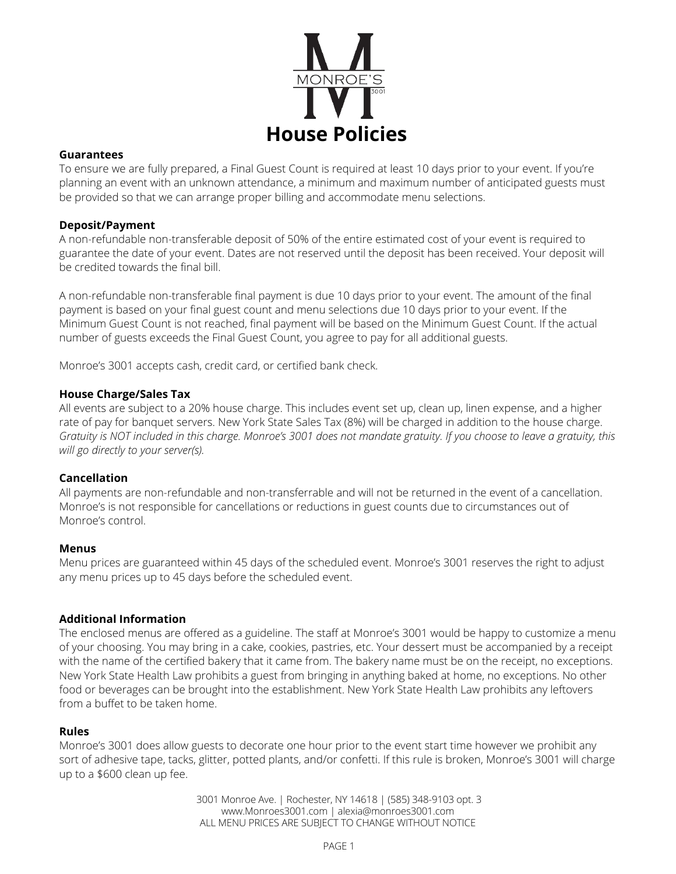

#### **Guarantees**

To ensure we are fully prepared, a Final Guest Count is required at least 10 days prior to your event. If you're planning an event with an unknown attendance, a minimum and maximum number of anticipated guests must be provided so that we can arrange proper billing and accommodate menu selections.

## **Deposit/Payment**

A non-refundable non-transferable deposit of 50% of the entire estimated cost of your event is required to guarantee the date of your event. Dates are not reserved until the deposit has been received. Your deposit will be credited towards the final bill.

A non-refundable non-transferable final payment is due 10 days prior to your event. The amount of the final payment is based on your final guest count and menu selections due 10 days prior to your event. If the Minimum Guest Count is not reached, final payment will be based on the Minimum Guest Count. If the actual number of guests exceeds the Final Guest Count, you agree to pay for all additional guests.

Monroe's 3001 accepts cash, credit card, or certified bank check.

#### **House Charge/Sales Tax**

All events are subject to a 20% house charge. This includes event set up, clean up, linen expense, and a higher rate of pay for banquet servers. New York State Sales Tax (8%) will be charged in addition to the house charge. Gratuity is NOT included in this charge. Monroe's 3001 does not mandate gratuity. If you choose to leave a gratuity, this *will go directly to your server(s).*

#### **Cancellation**

All payments are non-refundable and non-transferrable and will not be returned in the event of a cancellation. Monroe's is not responsible for cancellations or reductions in guest counts due to circumstances out of Monroe's control.

#### **Menus**

Menu prices are guaranteed within 45 days of the scheduled event. Monroe's 3001 reserves the right to adjust any menu prices up to 45 days before the scheduled event.

## **Additional Information**

The enclosed menus are offered as a guideline. The staff at Monroe's 3001 would be happy to customize a menu of your choosing. You may bring in a cake, cookies, pastries, etc. Your dessert must be accompanied by a receipt with the name of the certified bakery that it came from. The bakery name must be on the receipt, no exceptions. New York State Health Law prohibits a guest from bringing in anything baked at home, no exceptions. No other food or beverages can be brought into the establishment. New York State Health Law prohibits any leftovers from a buffet to be taken home.

#### **Rules**

Monroe's 3001 does allow guests to decorate one hour prior to the event start time however we prohibit any sort of adhesive tape, tacks, glitter, potted plants, and/or confetti. If this rule is broken, Monroe's 3001 will charge up to a \$600 clean up fee.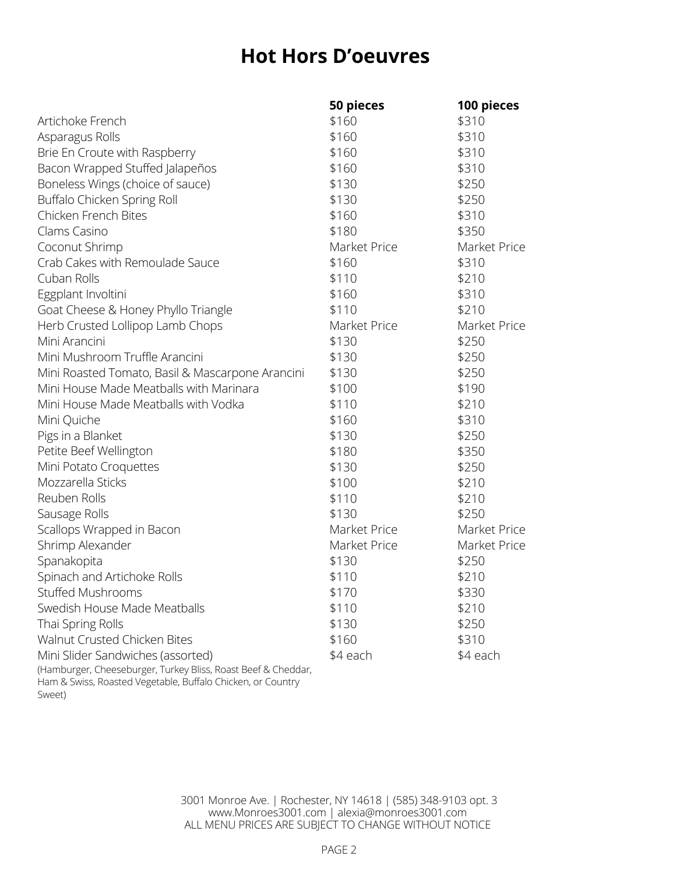# **Hot Hors D'oeuvres**

|                                                                       | 50 pieces    | 100 pieces   |
|-----------------------------------------------------------------------|--------------|--------------|
| Artichoke French                                                      | \$160        | \$310        |
| Asparagus Rolls                                                       | \$160        | \$310        |
| Brie En Croute with Raspberry                                         | \$160        | \$310        |
| Bacon Wrapped Stuffed Jalapeños                                       | \$160        | \$310        |
| Boneless Wings (choice of sauce)                                      | \$130        | \$250        |
| Buffalo Chicken Spring Roll                                           | \$130        | \$250        |
| Chicken French Bites                                                  | \$160        | \$310        |
| Clams Casino                                                          | \$180        | \$350        |
| Coconut Shrimp                                                        | Market Price | Market Price |
| Crab Cakes with Remoulade Sauce                                       | \$160        | \$310        |
| Cuban Rolls                                                           | \$110        | \$210        |
| Eggplant Involtini                                                    | \$160        | \$310        |
| Goat Cheese & Honey Phyllo Triangle                                   | \$110        | \$210        |
| Herb Crusted Lollipop Lamb Chops                                      | Market Price | Market Price |
| Mini Arancini                                                         | \$130        | \$250        |
| Mini Mushroom Truffle Arancini                                        | \$130        | \$250        |
| Mini Roasted Tomato, Basil & Mascarpone Arancini                      | \$130        | \$250        |
| Mini House Made Meatballs with Marinara                               | \$100        | \$190        |
| Mini House Made Meatballs with Vodka                                  | \$110        | \$210        |
| Mini Quiche                                                           | \$160        | \$310        |
| Pigs in a Blanket                                                     | \$130        | \$250        |
| Petite Beef Wellington                                                | \$180        | \$350        |
| Mini Potato Croquettes                                                | \$130        | \$250        |
| Mozzarella Sticks                                                     | \$100        | \$210        |
| Reuben Rolls                                                          | \$110        | \$210        |
| Sausage Rolls                                                         | \$130        | \$250        |
| Scallops Wrapped in Bacon                                             | Market Price | Market Price |
| Shrimp Alexander                                                      | Market Price | Market Price |
| Spanakopita                                                           | \$130        | \$250        |
| Spinach and Artichoke Rolls                                           | \$110        | \$210        |
| Stuffed Mushrooms                                                     | \$170        | \$330        |
| Swedish House Made Meatballs                                          | \$110        | \$210        |
| Thai Spring Rolls                                                     | \$130        | \$250        |
| Walnut Crusted Chicken Bites                                          | \$160        | \$310        |
| Mini Slider Sandwiches (assorted)                                     | \$4 each     | \$4 each     |
| (Hamburger, Cheeseburger, Turkey Bliss, Roast Beef & Cheddar,         |              |              |
| Ham & Swiss, Roasted Vegetable, Buffalo Chicken, or Country<br>Sweet) |              |              |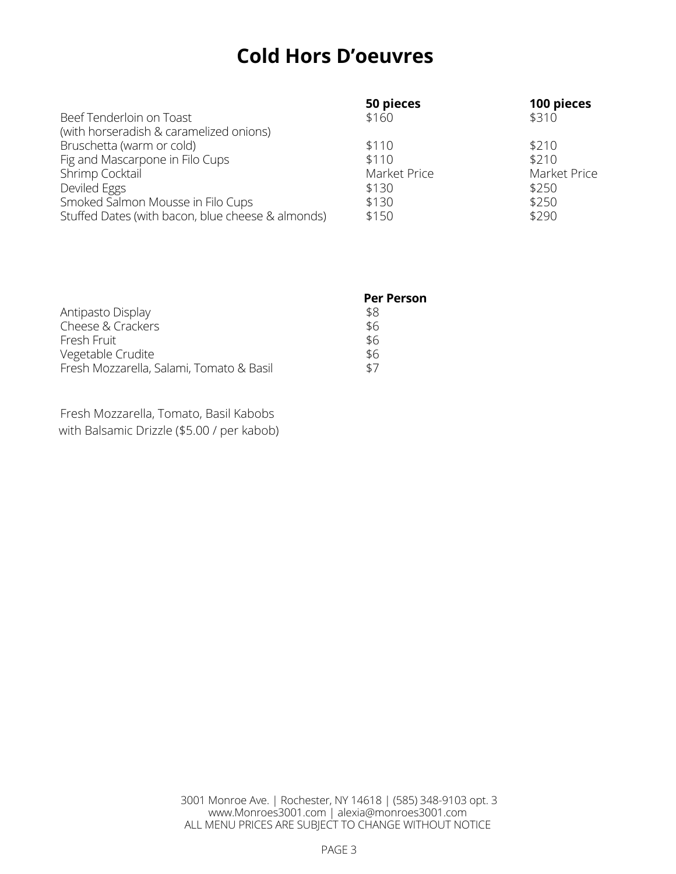# **Cold Hors D'oeuvres**

|                                                   | 50 pieces    | 100 pieces   |
|---------------------------------------------------|--------------|--------------|
| Beef Tenderloin on Toast                          | \$160        | \$310        |
| (with horseradish & caramelized onions)           |              |              |
| Bruschetta (warm or cold)                         | \$110        | \$210        |
| Fig and Mascarpone in Filo Cups                   | \$110        | \$210        |
| Shrimp Cocktail                                   | Market Price | Market Price |
| Deviled Eggs                                      | \$130        | \$250        |
| Smoked Salmon Mousse in Filo Cups                 | \$130        | \$250        |
| Stuffed Dates (with bacon, blue cheese & almonds) | \$150        | \$290        |

|                                          | <b>Per Person</b> |
|------------------------------------------|-------------------|
| Antipasto Display                        | \$8               |
| Cheese & Crackers                        | \$6               |
| Fresh Fruit                              | \$6               |
| Vegetable Crudite                        | \$6               |
| Fresh Mozzarella, Salami, Tomato & Basil | \$7               |

Fresh Mozzarella, Tomato, Basil Kabobs with Balsamic Drizzle (\$5.00 / per kabob)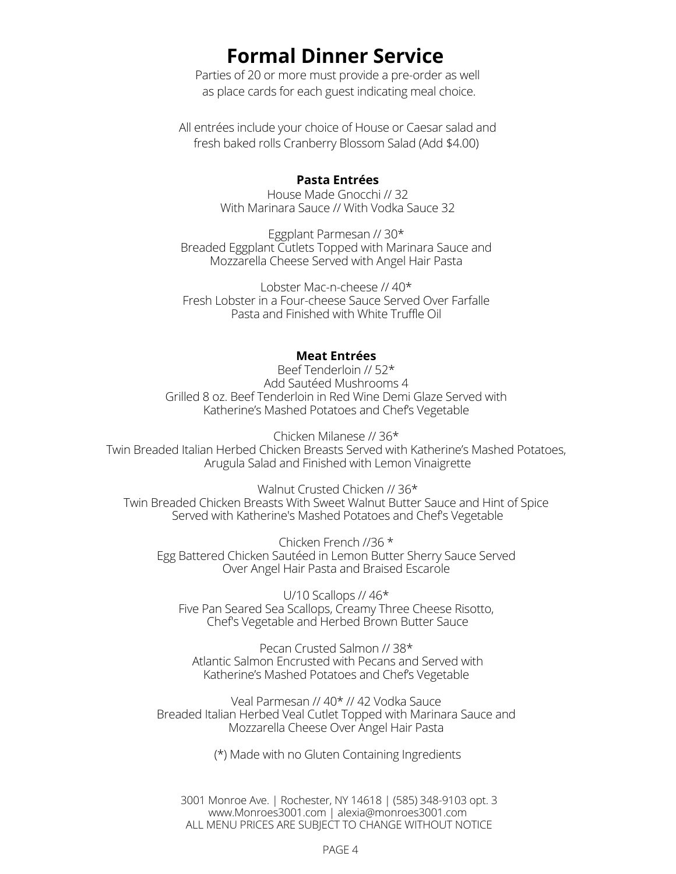# **Formal Dinner Service**

Parties of 20 or more must provide a pre-order as well as place cards for each guest indicating meal choice.

All entrées include your choice of House or Caesar salad and fresh baked rolls Cranberry Blossom Salad (Add \$4.00)

#### **Pasta Entrées**

House Made Gnocchi // 32 With Marinara Sauce // With Vodka Sauce 32

Eggplant Parmesan // 30\* Breaded Eggplant Cutlets Topped with Marinara Sauce and Mozzarella Cheese Served with Angel Hair Pasta

Lobster Mac-n-cheese // 40\* Fresh Lobster in a Four-cheese Sauce Served Over Farfalle Pasta and Finished with White Truffle Oil

#### **Meat Entrées**

Beef Tenderloin // 52\* Add Sautéed Mushrooms 4 Grilled 8 oz. Beef Tenderloin in Red Wine Demi Glaze Served with Katherine's Mashed Potatoes and Chef's Vegetable

Chicken Milanese // 36\* Twin Breaded Italian Herbed Chicken Breasts Served with Katherine's Mashed Potatoes, Arugula Salad and Finished with Lemon Vinaigrette

Walnut Crusted Chicken // 36\* Twin Breaded Chicken Breasts With Sweet Walnut Butter Sauce and Hint of Spice Served with Katherine's Mashed Potatoes and Chef's Vegetable

Chicken French //36 \* Egg Battered Chicken Sautéed in Lemon Butter Sherry Sauce Served Over Angel Hair Pasta and Braised Escarole

U/10 Scallops // 46\* Five Pan Seared Sea Scallops, Creamy Three Cheese Risotto, Chef's Vegetable and Herbed Brown Butter Sauce

Pecan Crusted Salmon // 38\* Atlantic Salmon Encrusted with Pecans and Served with Katherine's Mashed Potatoes and Chef's Vegetable

Veal Parmesan // 40\* // 42 Vodka Sauce Breaded Italian Herbed Veal Cutlet Topped with Marinara Sauce and Mozzarella Cheese Over Angel Hair Pasta

(\*) Made with no Gluten Containing Ingredients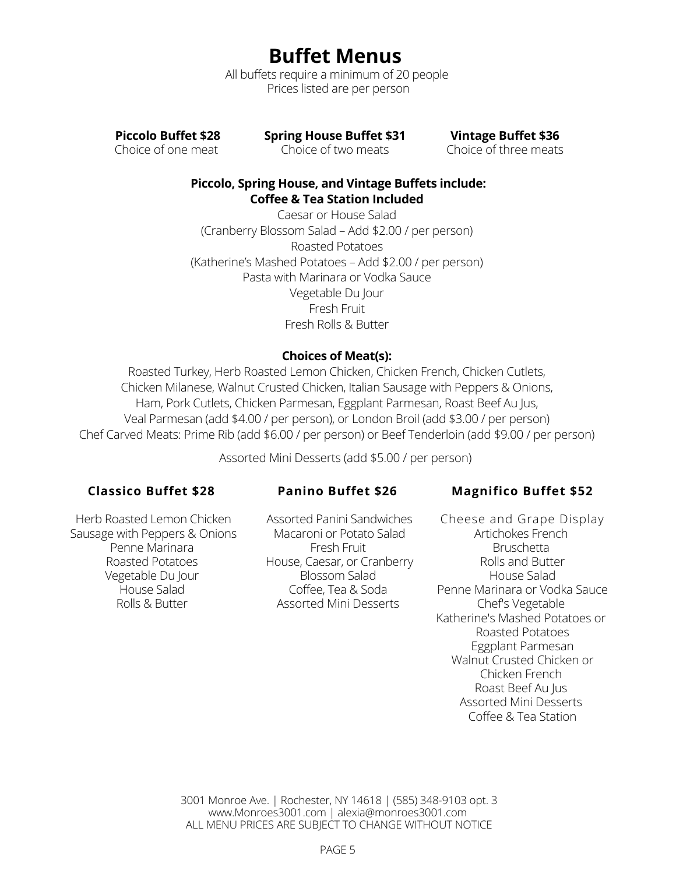**Buffet Menus**

All buffets require a minimum of 20 people Prices listed are per person

**Piccolo Buffet \$28**

Choice of one meat

**Spring House Buffet \$31** Choice of two meats

**Vintage Buffet \$36** Choice of three meats

# **Piccolo, Spring House, and Vintage Buffets include: Coffee & Tea Station Included**

Caesar or House Salad (Cranberry Blossom Salad – Add \$2.00 / per person) Roasted Potatoes (Katherine's Mashed Potatoes – Add \$2.00 / per person) Pasta with Marinara or Vodka Sauce Vegetable Du Jour Fresh Fruit Fresh Rolls & Butter

# **Choices of Meat(s):**

Roasted Turkey, Herb Roasted Lemon Chicken, Chicken French, Chicken Cutlets, Chicken Milanese, Walnut Crusted Chicken, Italian Sausage with Peppers & Onions, Ham, Pork Cutlets, Chicken Parmesan, Eggplant Parmesan, Roast Beef Au Jus, Veal Parmesan (add \$4.00 / per person), or London Broil (add \$3.00 / per person) Chef Carved Meats: Prime Rib (add \$6.00 / per person) or Beef Tenderloin (add \$9.00 / per person)

Assorted Mini Desserts (add \$5.00 / per person)

# **Classico Buffet \$28**

# **Panino Buffet \$26**

# **Magnifico Buffet \$52**

Herb Roasted Lemon Chicken Sausage with Peppers & Onions Penne Marinara Roasted Potatoes Vegetable Du Jour House Salad Rolls & Butter

Assorted Panini Sandwiches Macaroni or Potato Salad Fresh Fruit House, Caesar, or Cranberry Blossom Salad Coffee, Tea & Soda Assorted Mini Desserts

Cheese and Grape Display Artichokes French **Bruschetta** Rolls and Butter House Salad Penne Marinara or Vodka Sauce Chef's Vegetable Katherine's Mashed Potatoes or Roasted Potatoes Eggplant Parmesan Walnut Crusted Chicken or Chicken French Roast Beef Au Jus Assorted Mini Desserts Coffee & Tea Station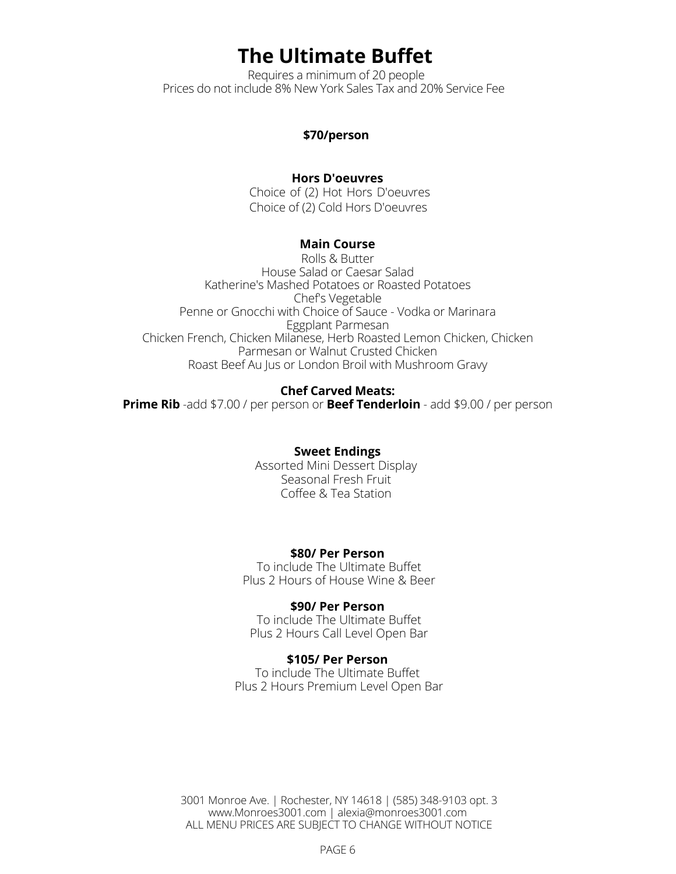# **The Ultimate Buffet**

Requires a minimum of 20 people Prices do not include 8% New York Sales Tax and 20% Service Fee

### **\$70/person**

### **Hors D'oeuvres**

Choice of (2) Hot Hors D'oeuvres Choice of (2) Cold Hors D'oeuvres

## **Main Course**

Rolls & Butter House Salad or Caesar Salad Katherine's Mashed Potatoes or Roasted Potatoes Chef's Vegetable Penne or Gnocchi with Choice of Sauce - Vodka or Marinara Eggplant Parmesan Chicken French, Chicken Milanese, Herb Roasted Lemon Chicken, Chicken Parmesan or Walnut Crusted Chicken Roast Beef Au Jus or London Broil with Mushroom Gravy

#### **Chef Carved Meats:**

**Prime Rib** -add \$7.00 / per person or **Beef Tenderloin** - add \$9.00 / per person

# **Sweet Endings**

Assorted Mini Dessert Display Seasonal Fresh Fruit Coffee & Tea Station

#### **\$80/ Per Person**

To include The Ultimate Buffet Plus 2 Hours of House Wine & Beer

#### **\$90/ Per Person**

To include The Ultimate Buffet Plus 2 Hours Call Level Open Bar

#### **\$105/ Per Person**

To include The Ultimate Buffet Plus 2 Hours Premium Level Open Bar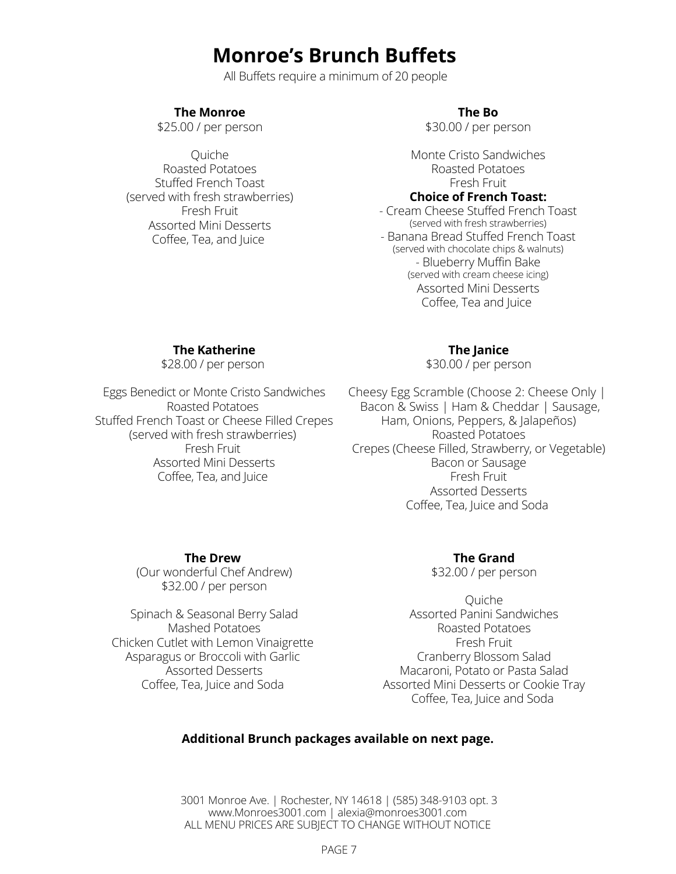# **Monroe's Brunch Buffets**

All Buffets require a minimum of 20 people

# **The Monroe**

\$25.00 / per person

Quiche Roasted Potatoes Stuffed French Toast (served with fresh strawberries) Fresh Fruit Assorted Mini Desserts Coffee, Tea, and Juice

## **The Bo**

\$30.00 / per person

Monte Cristo Sandwiches Roasted Potatoes Fresh Fruit **Choice of French Toast:**

- Cream Cheese Stuffed French Toast (served with fresh strawberries) - Banana Bread Stuffed French Toast (served with chocolate chips & walnuts) - Blueberry Muffin Bake (served with cream cheese icing) Assorted Mini Desserts Coffee, Tea and Juice

## **The Katherine**

\$28.00 / per person

Eggs Benedict or Monte Cristo Sandwiches Roasted Potatoes Stuffed French Toast or Cheese Filled Crepes (served with fresh strawberries) Fresh Fruit Assorted Mini Desserts Coffee, Tea, and Juice

## **The Janice**

\$30.00 / per person

Cheesy Egg Scramble (Choose 2: Cheese Only | Bacon & Swiss | Ham & Cheddar | Sausage, Ham, Onions, Peppers, & Jalapeños) Roasted Potatoes Crepes (Cheese Filled, Strawberry, or Vegetable) Bacon or Sausage Fresh Fruit Assorted Desserts Coffee, Tea, Juice and Soda

#### **The Drew**

(Our wonderful Chef Andrew) \$32.00 / per person

Spinach & Seasonal Berry Salad Mashed Potatoes Chicken Cutlet with Lemon Vinaigrette Asparagus or Broccoli with Garlic Assorted Desserts Coffee, Tea, Juice and Soda

**The Grand**

\$32.00 / per person

Quiche Assorted Panini Sandwiches Roasted Potatoes Fresh Fruit Cranberry Blossom Salad Macaroni, Potato or Pasta Salad Assorted Mini Desserts or Cookie Tray Coffee, Tea, Juice and Soda

## **Additional Brunch packages available on next page.**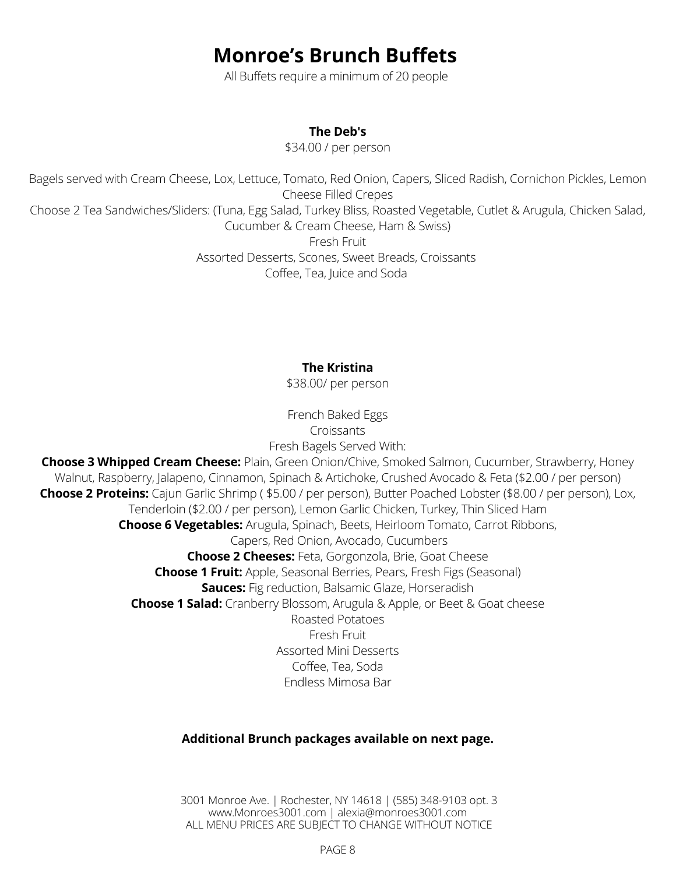# **Monroe's Brunch Buffets**

All Buffets require a minimum of 20 people

# **The Deb's**

\$34.00 / per person

Bagels served with Cream Cheese, Lox, Lettuce, Tomato, Red Onion, Capers, Sliced Radish, Cornichon Pickles, Lemon Cheese Filled Crepes Choose 2 Tea Sandwiches/Sliders: (Tuna, Egg Salad, Turkey Bliss, Roasted Vegetable, Cutlet & Arugula, Chicken Salad, Cucumber & Cream Cheese, Ham & Swiss) Fresh Fruit Assorted Desserts, Scones, Sweet Breads, Croissants Coffee, Tea, Juice and Soda

# **The Kristina**

\$38.00/ per person

French Baked Eggs Croissants Fresh Bagels Served With:

**Choose 3 Whipped Cream Cheese:** Plain, Green Onion/Chive, Smoked Salmon, Cucumber, Strawberry, Honey Walnut, Raspberry, Jalapeno, Cinnamon, Spinach & Artichoke, Crushed Avocado & Feta (\$2.00 / per person) **Choose 2 Proteins:** Cajun Garlic Shrimp ( \$5.00 / per person), Butter Poached Lobster (\$8.00 / per person), Lox, Tenderloin (\$2.00 / per person), Lemon Garlic Chicken, Turkey, Thin Sliced Ham **Choose 6 Vegetables:** Arugula, Spinach, Beets, Heirloom Tomato, Carrot Ribbons, Capers, Red Onion, Avocado, Cucumbers **Choose 2 Cheeses:** Feta, Gorgonzola, Brie, Goat Cheese **Choose 1 Fruit:** Apple, Seasonal Berries, Pears, Fresh Figs (Seasonal) **Sauces:** Fig reduction, Balsamic Glaze, Horseradish **Choose 1 Salad:** Cranberry Blossom, Arugula & Apple, or Beet & Goat cheese Roasted Potatoes Fresh Fruit Assorted Mini Desserts Coffee, Tea, Soda Endless Mimosa Bar

# **Additional Brunch packages available on next page.**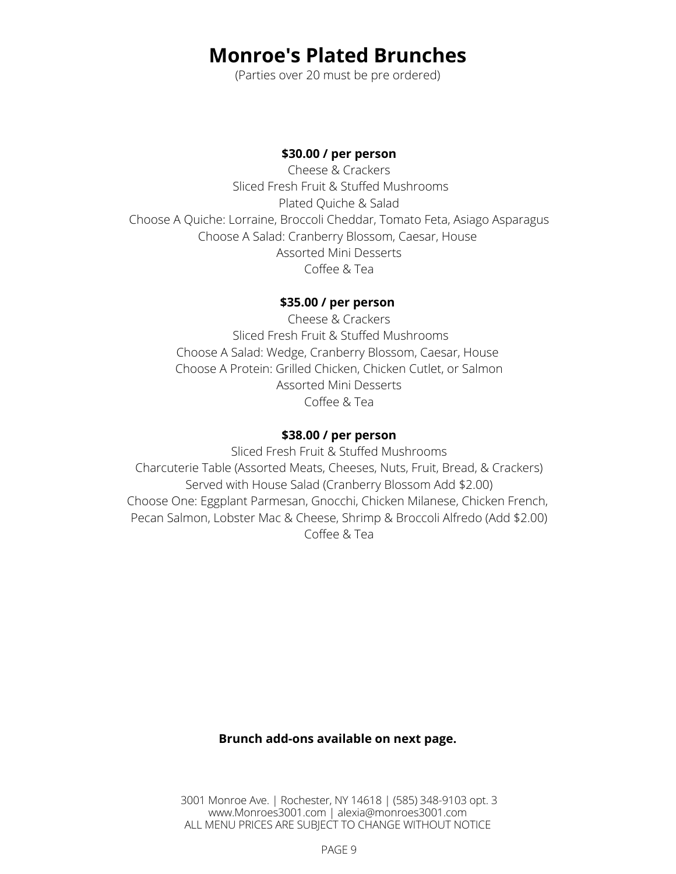# **Monroe's Plated Brunches**

(Parties over 20 must be pre ordered)

## **\$30.00 / per person**

Cheese & Crackers Sliced Fresh Fruit & Stuffed Mushrooms Plated Quiche & Salad Choose A Quiche: Lorraine, Broccoli Cheddar, Tomato Feta, Asiago Asparagus Choose A Salad: Cranberry Blossom, Caesar, House Assorted Mini Desserts Coffee & Tea

# **\$35.00 / per person**

Cheese & Crackers Sliced Fresh Fruit & Stuffed Mushrooms Choose A Salad: Wedge, Cranberry Blossom, Caesar, House Choose A Protein: Grilled Chicken, Chicken Cutlet, or Salmon Assorted Mini Desserts Coffee & Tea

# **\$38.00 / per person**

Sliced Fresh Fruit & Stuffed Mushrooms Charcuterie Table (Assorted Meats, Cheeses, Nuts, Fruit, Bread, & Crackers) Served with House Salad (Cranberry Blossom Add \$2.00) Choose One: Eggplant Parmesan, Gnocchi, Chicken Milanese, Chicken French, Pecan Salmon, Lobster Mac & Cheese, Shrimp & Broccoli Alfredo (Add \$2.00) Coffee & Tea

# **Brunch add-ons available on next page.**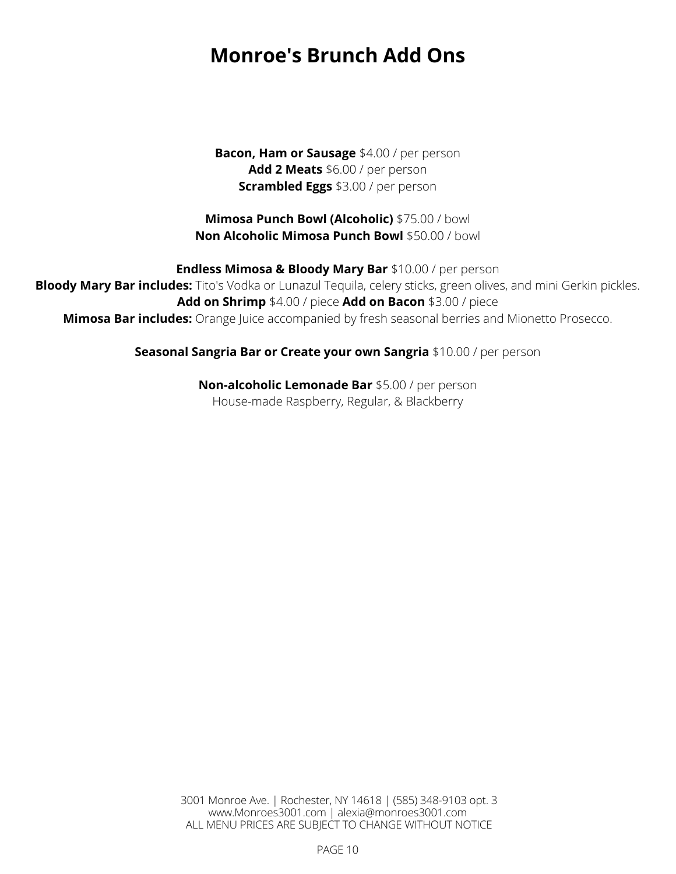# **Monroe's Brunch Add Ons**

**Bacon, Ham or Sausage** \$4.00 / per person **Add 2 Meats** \$6.00 / per person **Scrambled Eggs** \$3.00 / per person

**Mimosa Punch Bowl (Alcoholic)** \$75.00 / bowl **Non Alcoholic Mimosa Punch Bowl** \$50.00 / bowl

**Endless Mimosa & Bloody Mary Bar** \$10.00 / per person **Bloody Mary Bar includes:** Tito's Vodka or Lunazul Tequila, celery sticks, green olives, and mini Gerkin pickles. **Add on Shrimp** \$4.00 / piece **Add on Bacon** \$3.00 / piece **Mimosa Bar includes:** Orange Juice accompanied by fresh seasonal berries and Mionetto Prosecco.

**Seasonal Sangria Bar or Create your own Sangria** \$10.00 / per person

**Non-alcoholic Lemonade Bar** \$5.00 / per person House-made Raspberry, Regular, & Blackberry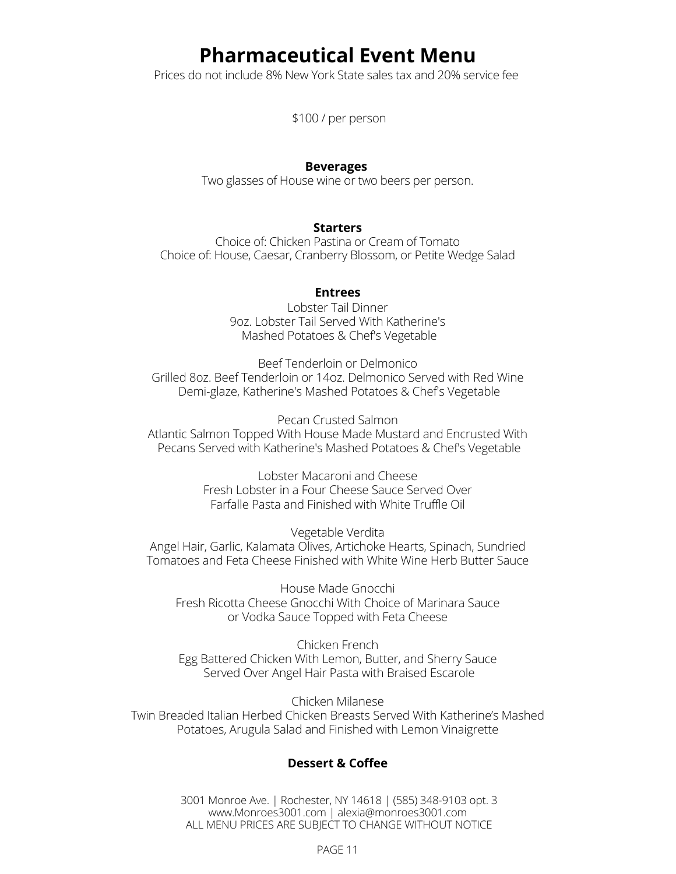# **Pharmaceutical Event Menu**

Prices do not include 8% New York State sales tax and 20% service fee

\$100 / per person

#### **Beverages**

Two glasses of House wine or two beers per person.

#### **Starters**

Choice of: Chicken Pastina or Cream of Tomato Choice of: House, Caesar, Cranberry Blossom, or Petite Wedge Salad

#### **Entrees**

Lobster Tail Dinner 9oz. Lobster Tail Served With Katherine's Mashed Potatoes & Chef's Vegetable

Beef Tenderloin or Delmonico Grilled 8oz. Beef Tenderloin or 14oz. Delmonico Served with Red Wine Demi-glaze, Katherine's Mashed Potatoes & Chef's Vegetable

Pecan Crusted Salmon Atlantic Salmon Topped With House Made Mustard and Encrusted With Pecans Served with Katherine's Mashed Potatoes & Chef's Vegetable

> Lobster Macaroni and Cheese Fresh Lobster in a Four Cheese Sauce Served Over Farfalle Pasta and Finished with White Truffle Oil

Vegetable Verdita Angel Hair, Garlic, Kalamata Olives, Artichoke Hearts, Spinach, Sundried Tomatoes and Feta Cheese Finished with White Wine Herb Butter Sauce

House Made Gnocchi Fresh Ricotta Cheese Gnocchi With Choice of Marinara Sauce or Vodka Sauce Topped with Feta Cheese

Chicken French Egg Battered Chicken With Lemon, Butter, and Sherry Sauce Served Over Angel Hair Pasta with Braised Escarole

Chicken Milanese Twin Breaded Italian Herbed Chicken Breasts Served With Katherine's Mashed Potatoes, Arugula Salad and Finished with Lemon Vinaigrette

## **Dessert & Coffee**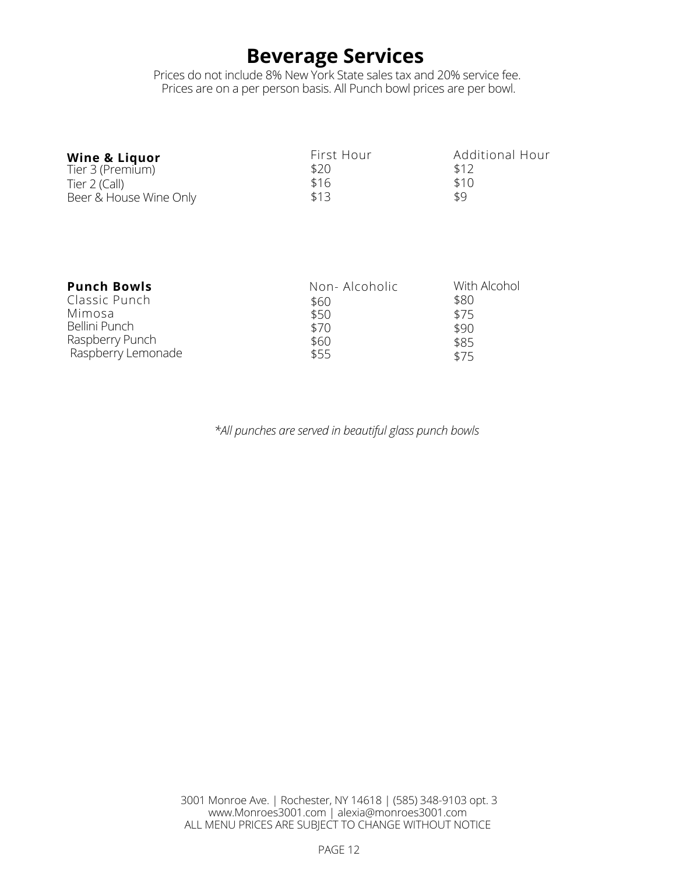# **Beverage Services**

Prices do not include 8% New York State sales tax and 20% service fee. Prices are on a per person basis. All Punch bowl prices are per bowl.

| <b>Wine &amp; Liquor</b><br>Tier 3 (Premium) | First Hour<br>\$20 | Additional Hour<br>\$12 |
|----------------------------------------------|--------------------|-------------------------|
| Tier 2 (Call)                                | \$16               | \$10                    |
| Beer & House Wine Only                       | \$13               | \$9                     |

| <b>Punch Bowls</b> | Non-Alcoholic | With Alcohol |
|--------------------|---------------|--------------|
| Classic Punch      | \$60          | \$80         |
| Mimosa             | \$50          | \$75         |
| Bellini Punch      | \$70          | \$90         |
| Raspberry Punch    | \$60          | \$85         |
| Raspberry Lemonade | \$55          | \$75         |

*\*All punches are served in beautiful glass punch bowls*